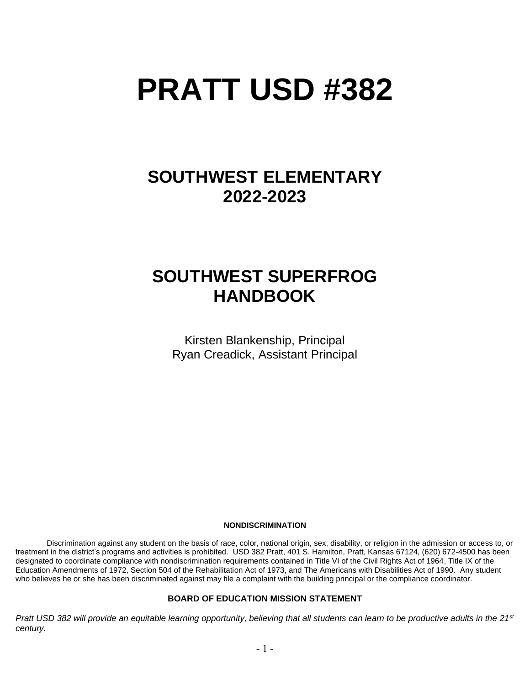# **PRATT USD #382**

# **SOUTHWEST ELEMENTARY 2022-2023**

# **SOUTHWEST SUPERFROG HANDBOOK**

Kirsten Blankenship, Principal Ryan Creadick, Assistant Principal

#### **NONDISCRIMINATION**

Discrimination against any student on the basis of race, color, national origin, sex, disability, or religion in the admission or access to, or treatment in the district's programs and activities is prohibited. USD 382 Pratt, 401 S. Hamilton, Pratt, Kansas 67124, (620) 672-4500 has been designated to coordinate compliance with nondiscrimination requirements contained in Title VI of the Civil Rights Act of 1964, Title IX of the Education Amendments of 1972, Section 504 of the Rehabilitation Act of 1973, and The Americans with Disabilities Act of 1990. Any student who believes he or she has been discriminated against may file a complaint with the building principal or the compliance coordinator.

#### **BOARD OF EDUCATION MISSION STATEMENT**

*Pratt USD 382 will provide an equitable learning opportunity, believing that all students can learn to be productive adults in the 21st century.*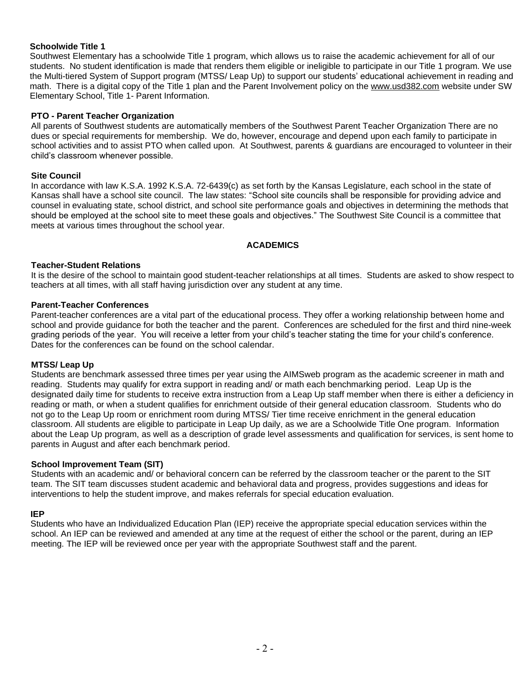#### **Schoolwide Title 1**

Southwest Elementary has a schoolwide Title 1 program, which allows us to raise the academic achievement for all of our students. No student identification is made that renders them eligible or ineligible to participate in our Title 1 program. We use the Multi-tiered System of Support program (MTSS/ Leap Up) to support our students' educational achievement in reading and math. There is a digital copy of the Title 1 plan and the Parent Involvement policy on the [www.usd382.com](http://www.usd382.com/) website under SW Elementary School, Title 1- Parent Information.

#### **PTO - Parent Teacher Organization**

All parents of Southwest students are automatically members of the Southwest Parent Teacher Organization There are no dues or special requirements for membership. We do, however, encourage and depend upon each family to participate in school activities and to assist PTO when called upon. At Southwest, parents & guardians are encouraged to volunteer in their child's classroom whenever possible.

#### **Site Council**

In accordance with law K.S.A. 1992 K.S.A. 72-6439(c) as set forth by the Kansas Legislature, each school in the state of Kansas shall have a school site council. The law states: "School site councils shall be responsible for providing advice and counsel in evaluating state, school district, and school site performance goals and objectives in determining the methods that should be employed at the school site to meet these goals and objectives." The Southwest Site Council is a committee that meets at various times throughout the school year.

#### **ACADEMICS**

#### **Teacher-Student Relations**

It is the desire of the school to maintain good student-teacher relationships at all times. Students are asked to show respect to teachers at all times, with all staff having jurisdiction over any student at any time.

#### **Parent-Teacher Conferences**

Parent-teacher conferences are a vital part of the educational process. They offer a working relationship between home and school and provide guidance for both the teacher and the parent. Conferences are scheduled for the first and third nine-week grading periods of the year. You will receive a letter from your child's teacher stating the time for your child's conference. Dates for the conferences can be found on the school calendar.

#### **MTSS/ Leap Up**

Students are benchmark assessed three times per year using the AIMSweb program as the academic screener in math and reading. Students may qualify for extra support in reading and/ or math each benchmarking period. Leap Up is the designated daily time for students to receive extra instruction from a Leap Up staff member when there is either a deficiency in reading or math, or when a student qualifies for enrichment outside of their general education classroom. Students who do not go to the Leap Up room or enrichment room during MTSS/ Tier time receive enrichment in the general education classroom. All students are eligible to participate in Leap Up daily, as we are a Schoolwide Title One program. Information about the Leap Up program, as well as a description of grade level assessments and qualification for services, is sent home to parents in August and after each benchmark period.

#### **School Improvement Team (SIT)**

Students with an academic and/ or behavioral concern can be referred by the classroom teacher or the parent to the SIT team. The SIT team discusses student academic and behavioral data and progress, provides suggestions and ideas for interventions to help the student improve, and makes referrals for special education evaluation.

#### **IEP**

 Students who have an Individualized Education Plan (IEP) receive the appropriate special education services within the school. An IEP can be reviewed and amended at any time at the request of either the school or the parent, during an IEP meeting. The IEP will be reviewed once per year with the appropriate Southwest staff and the parent.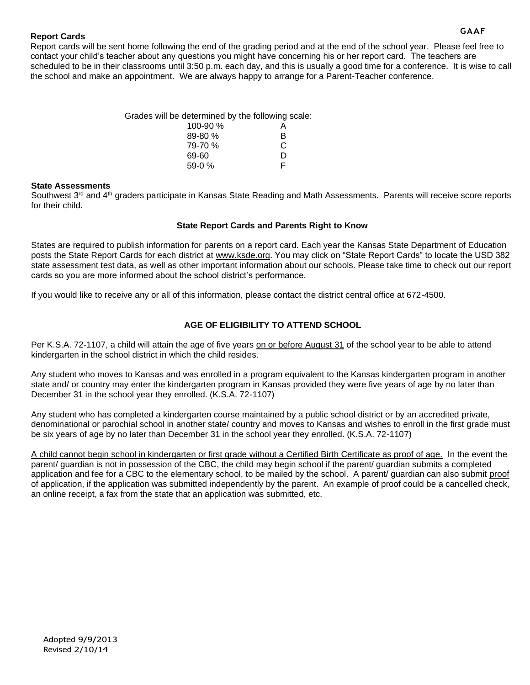#### **Report Cards**

 Report cards will be sent home following the end of the grading period and at the end of the school year. Please feel free to contact your child's teacher about any questions you might have concerning his or her report card. The teachers are scheduled to be in their classrooms until 3:50 p.m. each day, and this is usually a good time for a conference. It is wise to call the school and make an appointment. We are always happy to arrange for a Parent-Teacher conference.

| Grades will be determined by the following scale: |   |
|---------------------------------------------------|---|
| 100-90 %                                          | A |
| $89 - 80 \%$                                      | R |
| 79-70 %                                           | C |
| 69-60                                             | D |

59-0 % F

#### **State Assessments**

Southwest 3<sup>rd</sup> and 4<sup>th</sup> graders participate in Kansas State Reading and Math Assessments. Parents will receive score reports for their child.

#### **State Report Cards and Parents Right to Know**

States are required to publish information for parents on a report card. Each year the Kansas State Department of Education posts the State Report Cards for each district at [www.ksde.org.](http://www.ksde.org/) You may click on "State Report Cards" to locate the USD 382 state assessment test data, as well as other important information about our schools. Please take time to check out our report cards so you are more informed about the school district's performance.

If you would like to receive any or all of this information, please contact the district central office at 672-4500.

#### **AGE OF ELIGIBILITY TO ATTEND SCHOOL**

Per K.S.A. 72-1107, a child will attain the age of five years on or before August 31 of the school year to be able to attend kindergarten in the school district in which the child resides.

Any student who moves to Kansas and was enrolled in a program equivalent to the Kansas kindergarten program in another state and/ or country may enter the kindergarten program in Kansas provided they were five years of age by no later than December 31 in the school year they enrolled. (K.S.A. 72-1107)

Any student who has completed a kindergarten course maintained by a public school district or by an accredited private, denominational or parochial school in another state/ country and moves to Kansas and wishes to enroll in the first grade must be six years of age by no later than December 31 in the school year they enrolled. (K.S.A. 72-1107)

A child cannot begin school in kindergarten or first grade without a Certified Birth Certificate as proof of age. In the event the parent/ guardian is not in possession of the CBC, the child may begin school if the parent/ guardian submits a completed application and fee for a CBC to the elementary school, to be mailed by the school. A parent/ guardian can also submit proof of application, if the application was submitted independently by the parent. An example of proof could be a cancelled check, an online receipt, a fax from the state that an application was submitted, etc.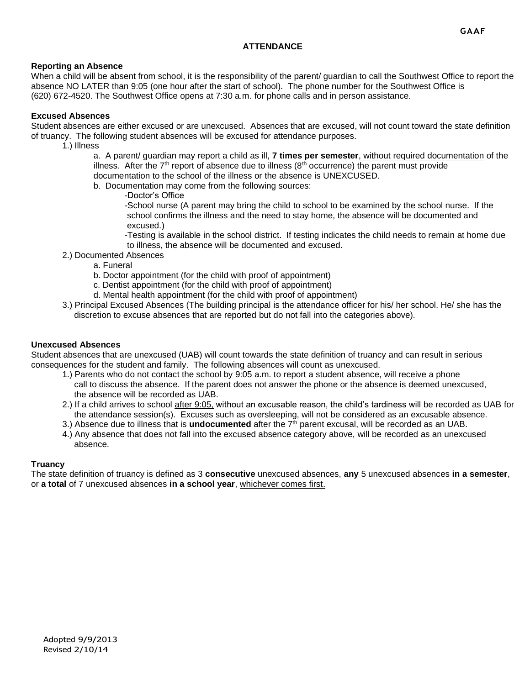#### **ATTENDANCE**

#### **Reporting an Absence**

When a child will be absent from school, it is the responsibility of the parent/ guardian to call the Southwest Office to report the absence NO LATER than 9:05 (one hour after the start of school). The phone number for the Southwest Office is (620) 672-4520. The Southwest Office opens at 7:30 a.m. for phone calls and in person assistance.

#### **Excused Absences**

Student absences are either excused or are unexcused. Absences that are excused, will not count toward the state definition of truancy. The following student absences will be excused for attendance purposes.

1.) Illness

a. A parent/ guardian may report a child as ill, **7 times per semester**, without required documentation of the illness. After the  $7<sup>th</sup>$  report of absence due to illness ( $8<sup>th</sup>$  occurrence) the parent must provide documentation to the school of the illness or the absence is UNEXCUSED.

- b. Documentation may come from the following sources:
	- -Doctor's Office

-School nurse (A parent may bring the child to school to be examined by the school nurse. If the school confirms the illness and the need to stay home, the absence will be documented and excused.)

-Testing is available in the school district. If testing indicates the child needs to remain at home due to illness, the absence will be documented and excused.

- 2.) Documented Absences
	- a. Funeral
	- b. Doctor appointment (for the child with proof of appointment)
	- c. Dentist appointment (for the child with proof of appointment)
	- d. Mental health appointment (for the child with proof of appointment)
- 3.) Principal Excused Absences (The building principal is the attendance officer for his/ her school. He/ she has the discretion to excuse absences that are reported but do not fall into the categories above).

#### **Unexcused Absences**

Student absences that are unexcused (UAB) will count towards the state definition of truancy and can result in serious consequences for the student and family. The following absences will count as unexcused.

- 1.) Parents who do not contact the school by 9:05 a.m. to report a student absence, will receive a phone call to discuss the absence. If the parent does not answer the phone or the absence is deemed unexcused, the absence will be recorded as UAB.
- 2.) If a child arrives to school after 9:05, without an excusable reason, the child's tardiness will be recorded as UAB for the attendance session(s). Excuses such as oversleeping, will not be considered as an excusable absence.
- 3.) Absence due to illness that is **undocumented** after the 7th parent excusal, will be recorded as an UAB.
- 4.) Any absence that does not fall into the excused absence category above, will be recorded as an unexcused absence.

#### **Truancy**

The state definition of truancy is defined as 3 **consecutive** unexcused absences, **any** 5 unexcused absences **in a semester**, or **a total** of 7 unexcused absences **in a school year**, whichever comes first.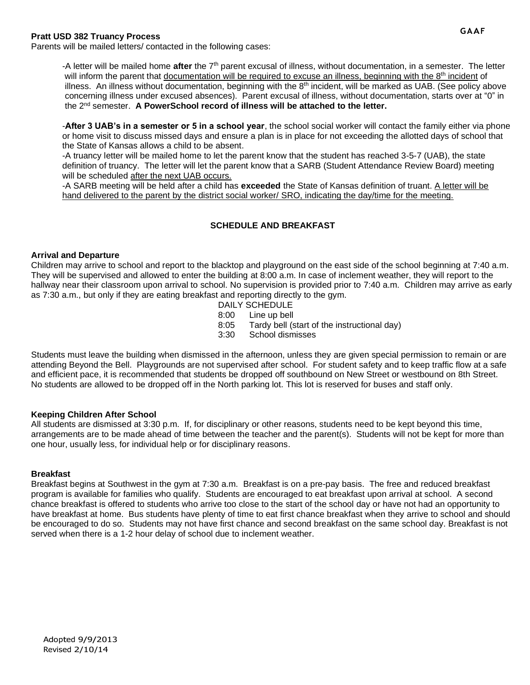#### **Pratt USD 382 Truancy Process**

Parents will be mailed letters/ contacted in the following cases:

-A letter will be mailed home **after** the 7th parent excusal of illness, without documentation, in a semester. The letter will inform the parent that documentation will be required to excuse an illness, beginning with the 8<sup>th</sup> incident of illness. An illness without documentation, beginning with the 8<sup>th</sup> incident, will be marked as UAB. (See policy above concerning illness under excused absences). Parent excusal of illness, without documentation, starts over at "0" in the 2nd semester. **A PowerSchool record of illness will be attached to the letter.**

-**After 3 UAB's in a semester or 5 in a school year**, the school social worker will contact the family either via phone or home visit to discuss missed days and ensure a plan is in place for not exceeding the allotted days of school that the State of Kansas allows a child to be absent.

-A truancy letter will be mailed home to let the parent know that the student has reached 3-5-7 (UAB), the state definition of truancy. The letter will let the parent know that a SARB (Student Attendance Review Board) meeting will be scheduled after the next UAB occurs.

-A SARB meeting will be held after a child has **exceeded** the State of Kansas definition of truant. A letter will be hand delivered to the parent by the district social worker/ SRO, indicating the day/time for the meeting.

#### **SCHEDULE AND BREAKFAST**

#### **Arrival and Departure**

Children may arrive to school and report to the blacktop and playground on the east side of the school beginning at 7:40 a.m. They will be supervised and allowed to enter the building at 8:00 a.m. In case of inclement weather, they will report to the hallway near their classroom upon arrival to school. No supervision is provided prior to 7:40 a.m. Children may arrive as early as 7:30 a.m., but only if they are eating breakfast and reporting directly to the gym.

- DAILY SCHEDULE
- 8:00 Line up bell
- 8:05 Tardy bell (start of the instructional day)
- 3:30 School dismisses

Students must leave the building when dismissed in the afternoon, unless they are given special permission to remain or are attending Beyond the Bell. Playgrounds are not supervised after school. For student safety and to keep traffic flow at a safe and efficient pace, it is recommended that students be dropped off southbound on New Street or westbound on 8th Street. No students are allowed to be dropped off in the North parking lot. This lot is reserved for buses and staff only.

#### **Keeping Children After School**

All students are dismissed at 3:30 p.m. If, for disciplinary or other reasons, students need to be kept beyond this time, arrangements are to be made ahead of time between the teacher and the parent(s). Students will not be kept for more than one hour, usually less, for individual help or for disciplinary reasons.

#### **Breakfast**

Breakfast begins at Southwest in the gym at 7:30 a.m. Breakfast is on a pre-pay basis. The free and reduced breakfast program is available for families who qualify. Students are encouraged to eat breakfast upon arrival at school. A second chance breakfast is offered to students who arrive too close to the start of the school day or have not had an opportunity to have breakfast at home. Bus students have plenty of time to eat first chance breakfast when they arrive to school and should be encouraged to do so. Students may not have first chance and second breakfast on the same school day. Breakfast is not served when there is a 1-2 hour delay of school due to inclement weather.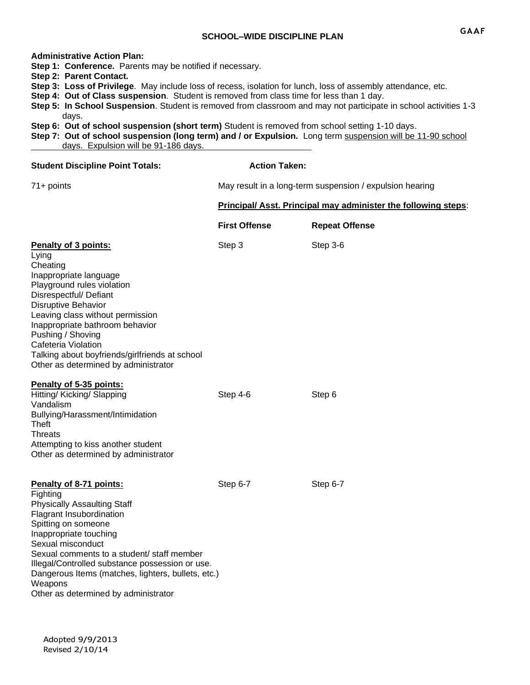#### **Administrative Action Plan:**

**Step 1: Conference.** Parents may be notified if necessary.

- **Step 2: Parent Contact.**
- **Step 3: Loss of Privilege**. May include loss of recess, isolation for lunch, loss of assembly attendance, etc.
- **Step 4: Out of Class suspension**. Student is removed from class time for less than 1 day.
- **Step 5: In School Suspension**. Student is removed from classroom and may not participate in school activities 1-3 days.
- **Step 6: Out of school suspension (short term)** Student is removed from school setting 1-10 days.
- **Step 7: Out of school suspension (long term) and / or Expulsion.** Long term suspension will be 11-90 school days. Expulsion will be 91-186 days.

| <b>Student Discipline Point Totals:</b>                                                                                                                                                                                                                                                                                                                                               | <b>Action Taken:</b>                                     |                                                                |
|---------------------------------------------------------------------------------------------------------------------------------------------------------------------------------------------------------------------------------------------------------------------------------------------------------------------------------------------------------------------------------------|----------------------------------------------------------|----------------------------------------------------------------|
| $71+$ points                                                                                                                                                                                                                                                                                                                                                                          | May result in a long-term suspension / expulsion hearing |                                                                |
|                                                                                                                                                                                                                                                                                                                                                                                       |                                                          | Principal/ Asst. Principal may administer the following steps: |
|                                                                                                                                                                                                                                                                                                                                                                                       | <b>First Offense</b>                                     | <b>Repeat Offense</b>                                          |
| Penalty of 3 points:<br>Lying<br>Cheating<br>Inappropriate language<br>Playground rules violation<br>Disrespectful/ Defiant<br><b>Disruptive Behavior</b><br>Leaving class without permission<br>Inappropriate bathroom behavior<br>Pushing / Shoving<br>Cafeteria Violation<br>Talking about boyfriends/girlfriends at school<br>Other as determined by administrator                | Step 3                                                   | Step 3-6                                                       |
| Penalty of 5-35 points:<br>Hitting/ Kicking/ Slapping<br>Vandalism<br>Bullying/Harassment/Intimidation<br>Theft<br><b>Threats</b><br>Attempting to kiss another student<br>Other as determined by administrator                                                                                                                                                                       | Step 4-6                                                 | Step 6                                                         |
| Penalty of 8-71 points:<br>Fighting<br><b>Physically Assaulting Staff</b><br>Flagrant Insubordination<br>Spitting on someone<br>Inappropriate touching<br>Sexual misconduct<br>Sexual comments to a student/ staff member<br>Illegal/Controlled substance possession or use.<br>Dangerous Items (matches, lighters, bullets, etc.)<br>Weapons<br>Other as determined by administrator | Step 6-7                                                 | Step 6-7                                                       |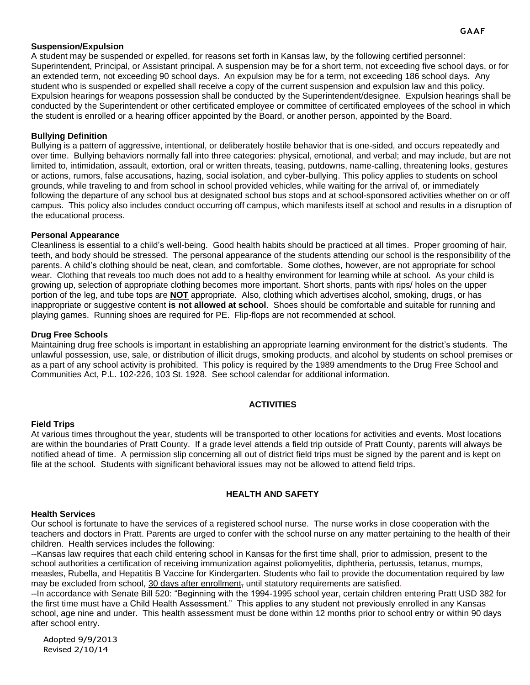#### **Suspension/Expulsion**

A student may be suspended or expelled, for reasons set forth in Kansas law, by the following certified personnel: Superintendent, Principal, or Assistant principal. A suspension may be for a short term, not exceeding five school days, or for an extended term, not exceeding 90 school days. An expulsion may be for a term, not exceeding 186 school days. Any student who is suspended or expelled shall receive a copy of the current suspension and expulsion law and this policy. Expulsion hearings for weapons possession shall be conducted by the Superintendent/designee. Expulsion hearings shall be conducted by the Superintendent or other certificated employee or committee of certificated employees of the school in which the student is enrolled or a hearing officer appointed by the Board, or another person, appointed by the Board.

#### **Bullying Definition**

Bullying is a pattern of aggressive, intentional, or deliberately hostile behavior that is one-sided, and occurs repeatedly and over time. Bullying behaviors normally fall into three categories: physical, emotional, and verbal; and may include, but are not limited to, intimidation, assault, extortion, oral or written threats, teasing, putdowns, name-calling, threatening looks, gestures or actions, rumors, false accusations, hazing, social isolation, and cyber-bullying. This policy applies to students on school grounds, while traveling to and from school in school provided vehicles, while waiting for the arrival of, or immediately following the departure of any school bus at designated school bus stops and at school-sponsored activities whether on or off campus. This policy also includes conduct occurring off campus, which manifests itself at school and results in a disruption of the educational process.

#### **Personal Appearance**

Cleanliness is essential to a child's well-being. Good health habits should be practiced at all times. Proper grooming of hair, teeth, and body should be stressed. The personal appearance of the students attending our school is the responsibility of the parents. A child's clothing should be neat, clean, and comfortable. Some clothes, however, are not appropriate for school wear. Clothing that reveals too much does not add to a healthy environment for learning while at school. As your child is growing up, selection of appropriate clothing becomes more important. Short shorts, pants with rips/ holes on the upper portion of the leg, and tube tops are **NOT** appropriate. Also, clothing which advertises alcohol, smoking, drugs, or has inappropriate or suggestive content **is not allowed at school**. Shoes should be comfortable and suitable for running and playing games. Running shoes are required for PE. Flip-flops are not recommended at school.

#### **Drug Free Schools**

Maintaining drug free schools is important in establishing an appropriate learning environment for the district's students. The unlawful possession, use, sale, or distribution of illicit drugs, smoking products, and alcohol by students on school premises or as a part of any school activity is prohibited. This policy is required by the 1989 amendments to the Drug Free School and Communities Act, P.L. 102-226, 103 St. 1928. See school calendar for additional information.

#### **ACTIVITIES**

#### **Field Trips**

At various times throughout the year, students will be transported to other locations for activities and events. Most locations are within the boundaries of Pratt County. If a grade level attends a field trip outside of Pratt County, parents will always be notified ahead of time. A permission slip concerning all out of district field trips must be signed by the parent and is kept on file at the school. Students with significant behavioral issues may not be allowed to attend field trips.

#### **HEALTH AND SAFETY**

#### **Health Services**

Our school is fortunate to have the services of a registered school nurse. The nurse works in close cooperation with the teachers and doctors in Pratt. Parents are urged to confer with the school nurse on any matter pertaining to the health of their children. Health services includes the following:

--Kansas law requires that each child entering school in Kansas for the first time shall, prior to admission, present to the school authorities a certification of receiving immunization against poliomyelitis, diphtheria, pertussis, tetanus, mumps, measles, Rubella, and Hepatitis B Vaccine for Kindergarten. Students who fail to provide the documentation required by law may be excluded from school, 30 days after enrollment, until statutory requirements are satisfied.

--In accordance with Senate Bill 520: "Beginning with the 1994-1995 school year, certain children entering Pratt USD 382 for the first time must have a Child Health Assessment." This applies to any student not previously enrolled in any Kansas school, age nine and under. This health assessment must be done within 12 months prior to school entry or within 90 days after school entry.

Adopted 9/9/2013 Revised 2/10/14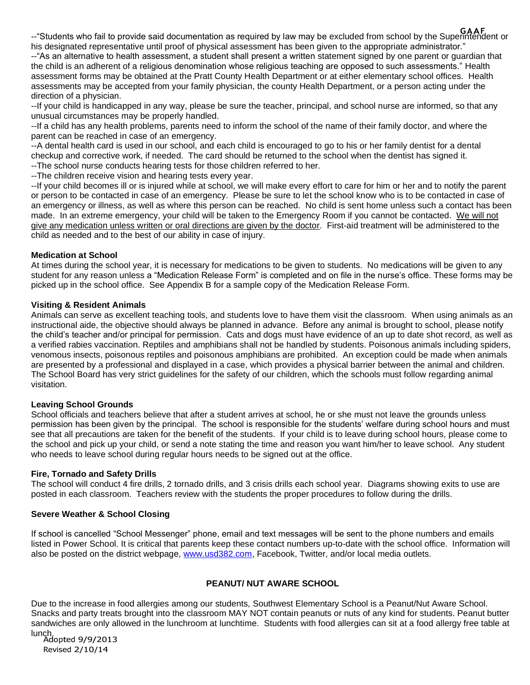**GAAF** --"Students who fail to provide said documentation as required by law may be excluded from school by the Superintendent or his designated representative until proof of physical assessment has been given to the appropriate administrator."

--"As an alternative to health assessment, a student shall present a written statement signed by one parent or guardian that the child is an adherent of a religious denomination whose religious teaching are opposed to such assessments." Health assessment forms may be obtained at the Pratt County Health Department or at either elementary school offices. Health assessments may be accepted from your family physician, the county Health Department, or a person acting under the direction of a physician.

--If your child is handicapped in any way, please be sure the teacher, principal, and school nurse are informed, so that any unusual circumstances may be properly handled.

--If a child has any health problems, parents need to inform the school of the name of their family doctor, and where the parent can be reached in case of an emergency.

--A dental health card is used in our school, and each child is encouraged to go to his or her family dentist for a dental checkup and corrective work, if needed. The card should be returned to the school when the dentist has signed it. --The school nurse conducts hearing tests for those children referred to her.

--The children receive vision and hearing tests every year.

--If your child becomes ill or is injured while at school, we will make every effort to care for him or her and to notify the parent or person to be contacted in case of an emergency. Please be sure to let the school know who is to be contacted in case of an emergency or illness, as well as where this person can be reached. No child is sent home unless such a contact has been made. In an extreme emergency, your child will be taken to the Emergency Room if you cannot be contacted. We will not give any medication unless written or oral directions are given by the doctor. First-aid treatment will be administered to the child as needed and to the best of our ability in case of injury.

#### **Medication at School**

At times during the school year, it is necessary for medications to be given to students. No medications will be given to any student for any reason unless a "Medication Release Form" is completed and on file in the nurse's office. These forms may be picked up in the school office. See Appendix B for a sample copy of the Medication Release Form.

#### **Visiting & Resident Animals**

Animals can serve as excellent teaching tools, and students love to have them visit the classroom. When using animals as an instructional aide, the objective should always be planned in advance. Before any animal is brought to school, please notify the child's teacher and/or principal for permission. Cats and dogs must have evidence of an up to date shot record, as well as a verified rabies vaccination. Reptiles and amphibians shall not be handled by students. Poisonous animals including spiders, venomous insects, poisonous reptiles and poisonous amphibians are prohibited. An exception could be made when animals are presented by a professional and displayed in a case, which provides a physical barrier between the animal and children. The School Board has very strict guidelines for the safety of our children, which the schools must follow regarding animal visitation.

#### **Leaving School Grounds**

School officials and teachers believe that after a student arrives at school, he or she must not leave the grounds unless permission has been given by the principal. The school is responsible for the students' welfare during school hours and must see that all precautions are taken for the benefit of the students. If your child is to leave during school hours, please come to the school and pick up your child, or send a note stating the time and reason you want him/her to leave school. Any student who needs to leave school during regular hours needs to be signed out at the office.

#### **Fire, Tornado and Safety Drills**

The school will conduct 4 fire drills, 2 tornado drills, and 3 crisis drills each school year. Diagrams showing exits to use are posted in each classroom. Teachers review with the students the proper procedures to follow during the drills.

#### **Severe Weather & School Closing**

If school is cancelled "School Messenger" phone, email and text messages will be sent to the phone numbers and emails listed in Power School. It is critical that parents keep these contact numbers up-to-date with the school office. Information will also be posted on the district webpage, [www.usd382.com,](http://www.usd382.com/) Facebook, Twitter, and/or local media outlets.

#### **PEANUT/ NUT AWARE SCHOOL**

Due to the increase in food allergies among our students, Southwest Elementary School is a Peanut/Nut Aware School. Snacks and party treats brought into the classroom MAY NOT contain peanuts or nuts of any kind for students. Peanut butter sandwiches are only allowed in the lunchroom at lunchtime. Students with food allergies can sit at a food allergy free table at

Adopted 9/9/2013 lunch.Revised 2/10/14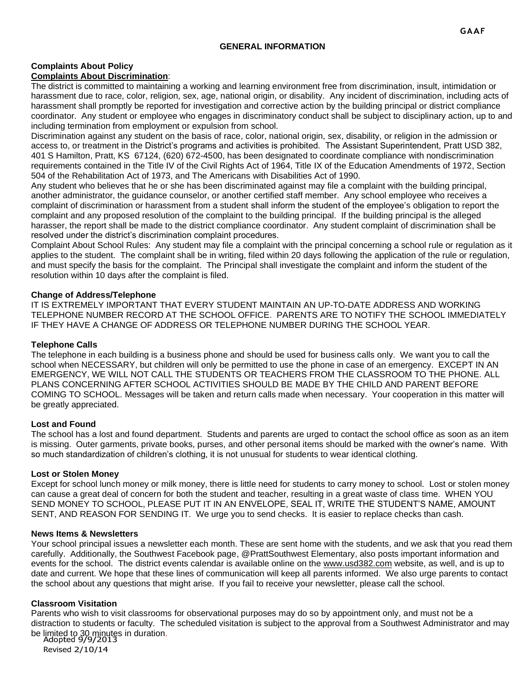#### **GENERAL INFORMATION**

#### **Complaints About Policy Complaints About Discrimination**:

The district is committed to maintaining a working and learning environment free from discrimination, insult, intimidation or harassment due to race, color, religion, sex, age, national origin, or disability. Any incident of discrimination, including acts of harassment shall promptly be reported for investigation and corrective action by the building principal or district compliance coordinator. Any student or employee who engages in discriminatory conduct shall be subject to disciplinary action, up to and including termination from employment or expulsion from school.

Discrimination against any student on the basis of race, color, national origin, sex, disability, or religion in the admission or access to, or treatment in the District's programs and activities is prohibited. The Assistant Superintendent, Pratt USD 382, 401 S Hamilton, Pratt, KS 67124, (620) 672-4500, has been designated to coordinate compliance with nondiscrimination requirements contained in the Title IV of the Civil Rights Act of 1964, Title IX of the Education Amendments of 1972, Section 504 of the Rehabilitation Act of 1973, and The Americans with Disabilities Act of 1990.

Any student who believes that he or she has been discriminated against may file a complaint with the building principal, another administrator, the guidance counselor, or another certified staff member. Any school employee who receives a complaint of discrimination or harassment from a student shall inform the student of the employee's obligation to report the complaint and any proposed resolution of the complaint to the building principal. If the building principal is the alleged harasser, the report shall be made to the district compliance coordinator. Any student complaint of discrimination shall be resolved under the district's discrimination complaint procedures.

Complaint About School Rules: Any student may file a complaint with the principal concerning a school rule or regulation as it applies to the student. The complaint shall be in writing, filed within 20 days following the application of the rule or regulation, and must specify the basis for the complaint. The Principal shall investigate the complaint and inform the student of the resolution within 10 days after the complaint is filed.

#### **Change of Address/Telephone**

IT IS EXTREMELY IMPORTANT THAT EVERY STUDENT MAINTAIN AN UP-TO-DATE ADDRESS AND WORKING TELEPHONE NUMBER RECORD AT THE SCHOOL OFFICE. PARENTS ARE TO NOTIFY THE SCHOOL IMMEDIATELY IF THEY HAVE A CHANGE OF ADDRESS OR TELEPHONE NUMBER DURING THE SCHOOL YEAR.

#### **Telephone Calls**

The telephone in each building is a business phone and should be used for business calls only. We want you to call the school when NECESSARY, but children will only be permitted to use the phone in case of an emergency. EXCEPT IN AN EMERGENCY, WE WILL NOT CALL THE STUDENTS OR TEACHERS FROM THE CLASSROOM TO THE PHONE. ALL PLANS CONCERNING AFTER SCHOOL ACTIVITIES SHOULD BE MADE BY THE CHILD AND PARENT BEFORE COMING TO SCHOOL. Messages will be taken and return calls made when necessary. Your cooperation in this matter will be greatly appreciated.

#### **Lost and Found**

The school has a lost and found department. Students and parents are urged to contact the school office as soon as an item is missing. Outer garments, private books, purses, and other personal items should be marked with the owner's name. With so much standardization of children's clothing, it is not unusual for students to wear identical clothing.

#### **Lost or Stolen Money**

Except for school lunch money or milk money, there is little need for students to carry money to school. Lost or stolen money can cause a great deal of concern for both the student and teacher, resulting in a great waste of class time. WHEN YOU SEND MONEY TO SCHOOL, PLEASE PUT IT IN AN ENVELOPE, SEAL IT, WRITE THE STUDENT'S NAME, AMOUNT SENT, AND REASON FOR SENDING IT. We urge you to send checks. It is easier to replace checks than cash.

#### **News Items & Newsletters**

Your school principal issues a newsletter each month. These are sent home with the students, and we ask that you read them carefully. Additionally, the Southwest Facebook page, @PrattSouthwest Elementary, also posts important information and events for the school. The district events calendar is available online on the [www.usd382.com](http://www.usd382.com/) website, as well, and is up to date and current. We hope that these lines of communication will keep all parents informed. We also urge parents to contact the school about any questions that might arise. If you fail to receive your newsletter, please call the school.

#### **Classroom Visitation**

be limited to 30 minutes in duration.<br>Adopted 9/9/2013 Parents who wish to visit classrooms for observational purposes may do so by appointment only, and must not be a distraction to students or faculty. The scheduled visitation is subject to the approval from a Southwest Administrator and may

Revised 2/10/14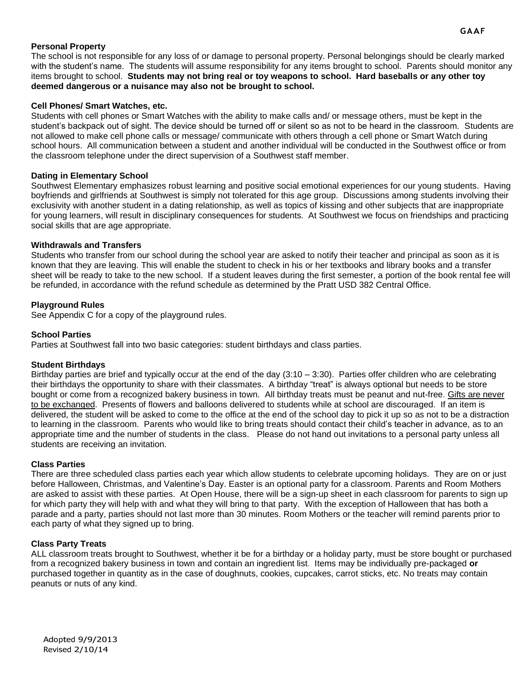#### **Personal Property**

The school is not responsible for any loss of or damage to personal property. Personal belongings should be clearly marked with the student's name. The students will assume responsibility for any items brought to school. Parents should monitor any items brought to school. **Students may not bring real or toy weapons to school. Hard baseballs or any other toy deemed dangerous or a nuisance may also not be brought to school.**

#### **Cell Phones/ Smart Watches, etc.**

Students with cell phones or Smart Watches with the ability to make calls and/ or message others, must be kept in the student's backpack out of sight. The device should be turned off or silent so as not to be heard in the classroom. Students are not allowed to make cell phone calls or message/ communicate with others through a cell phone or Smart Watch during school hours. All communication between a student and another individual will be conducted in the Southwest office or from the classroom telephone under the direct supervision of a Southwest staff member.

#### **Dating in Elementary School**

Southwest Elementary emphasizes robust learning and positive social emotional experiences for our young students. Having boyfriends and girlfriends at Southwest is simply not tolerated for this age group. Discussions among students involving their exclusivity with another student in a dating relationship, as well as topics of kissing and other subjects that are inappropriate for young learners, will result in disciplinary consequences for students. At Southwest we focus on friendships and practicing social skills that are age appropriate.

#### **Withdrawals and Transfers**

Students who transfer from our school during the school year are asked to notify their teacher and principal as soon as it is known that they are leaving. This will enable the student to check in his or her textbooks and library books and a transfer sheet will be ready to take to the new school. If a student leaves during the first semester, a portion of the book rental fee will be refunded, in accordance with the refund schedule as determined by the Pratt USD 382 Central Office.

#### **Playground Rules**

See Appendix C for a copy of the playground rules.

#### **School Parties**

Parties at Southwest fall into two basic categories: student birthdays and class parties.

#### **Student Birthdays**

Birthday parties are brief and typically occur at the end of the day (3:10 – 3:30). Parties offer children who are celebrating their birthdays the opportunity to share with their classmates. A birthday "treat" is always optional but needs to be store bought or come from a recognized bakery business in town. All birthday treats must be peanut and nut-free. Gifts are never to be exchanged. Presents of flowers and balloons delivered to students while at school are discouraged. If an item is delivered, the student will be asked to come to the office at the end of the school day to pick it up so as not to be a distraction to learning in the classroom. Parents who would like to bring treats should contact their child's teacher in advance, as to an appropriate time and the number of students in the class. Please do not hand out invitations to a personal party unless all students are receiving an invitation.

#### **Class Parties**

There are three scheduled class parties each year which allow students to celebrate upcoming holidays. They are on or just before Halloween, Christmas, and Valentine's Day. Easter is an optional party for a classroom. Parents and Room Mothers are asked to assist with these parties. At Open House, there will be a sign-up sheet in each classroom for parents to sign up for which party they will help with and what they will bring to that party. With the exception of Halloween that has both a parade and a party, parties should not last more than 30 minutes. Room Mothers or the teacher will remind parents prior to each party of what they signed up to bring.

#### **Class Party Treats**

ALL classroom treats brought to Southwest, whether it be for a birthday or a holiday party, must be store bought or purchased from a recognized bakery business in town and contain an ingredient list. Items may be individually pre-packaged **or**  purchased together in quantity as in the case of doughnuts, cookies, cupcakes, carrot sticks, etc. No treats may contain peanuts or nuts of any kind.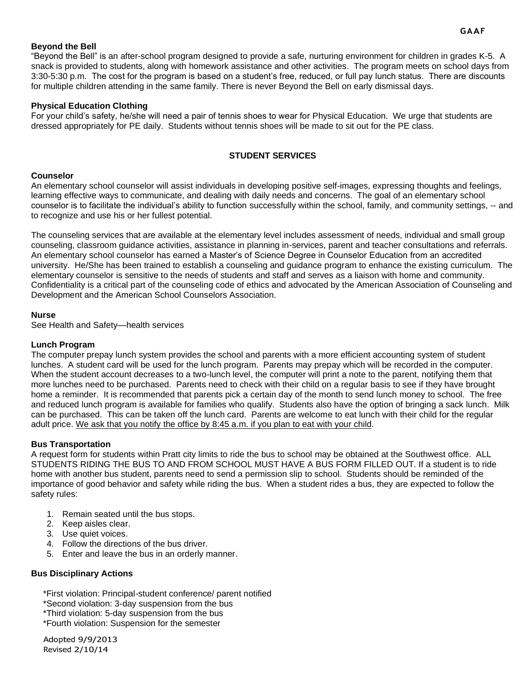#### **GAAF**

#### **Beyond the Bell**

"Beyond the Bell" is an after-school program designed to provide a safe, nurturing environment for children in grades K-5. A snack is provided to students, along with homework assistance and other activities. The program meets on school days from 3:30-5:30 p.m. The cost for the program is based on a student's free, reduced, or full pay lunch status. There are discounts for multiple children attending in the same family. There is never Beyond the Bell on early dismissal days.

#### **Physical Education Clothing**

For your child's safety, he/she will need a pair of tennis shoes to wear for Physical Education. We urge that students are dressed appropriately for PE daily. Students without tennis shoes will be made to sit out for the PE class.

#### **STUDENT SERVICES**

#### **Counselor**

An elementary school counselor will assist individuals in developing positive self-images, expressing thoughts and feelings, learning effective ways to communicate, and dealing with daily needs and concerns. The goal of an elementary school counselor is to facilitate the individual's ability to function successfully within the school, family, and community settings, -- and to recognize and use his or her fullest potential.

The counseling services that are available at the elementary level includes assessment of needs, individual and small group counseling, classroom guidance activities, assistance in planning in-services, parent and teacher consultations and referrals. An elementary school counselor has earned a Master's of Science Degree in Counselor Education from an accredited university. He/She has been trained to establish a counseling and guidance program to enhance the existing curriculum. The elementary counselor is sensitive to the needs of students and staff and serves as a liaison with home and community. Confidentiality is a critical part of the counseling code of ethics and advocated by the American Association of Counseling and Development and the American School Counselors Association.

#### **Nurse**

See Health and Safety—health services

#### **Lunch Program**

The computer prepay lunch system provides the school and parents with a more efficient accounting system of student lunches. A student card will be used for the lunch program. Parents may prepay which will be recorded in the computer. When the student account decreases to a two-lunch level, the computer will print a note to the parent, notifying them that more lunches need to be purchased. Parents need to check with their child on a regular basis to see if they have brought home a reminder. It is recommended that parents pick a certain day of the month to send lunch money to school. The free and reduced lunch program is available for families who qualify. Students also have the option of bringing a sack lunch. Milk can be purchased. This can be taken off the lunch card. Parents are welcome to eat lunch with their child for the regular adult price. We ask that you notify the office by 8:45 a.m. if you plan to eat with your child.

#### **Bus Transportation**

A request form for students within Pratt city limits to ride the bus to school may be obtained at the Southwest office. ALL STUDENTS RIDING THE BUS TO AND FROM SCHOOL MUST HAVE A BUS FORM FILLED OUT. If a student is to ride home with another bus student, parents need to send a permission slip to school. Students should be reminded of the importance of good behavior and safety while riding the bus. When a student rides a bus, they are expected to follow the safety rules:

- 1. Remain seated until the bus stops.
- 2. Keep aisles clear.
- 3. Use quiet voices.
- 4. Follow the directions of the bus driver.
- 5. Enter and leave the bus in an orderly manner.

#### **Bus Disciplinary Actions**

\*First violation: Principal-student conference/ parent notified

\*Second violation: 3-day suspension from the bus

\*Third violation: 5-day suspension from the bus

\*Fourth violation: Suspension for the semester

Adopted 9/9/2013 Revised 2/10/14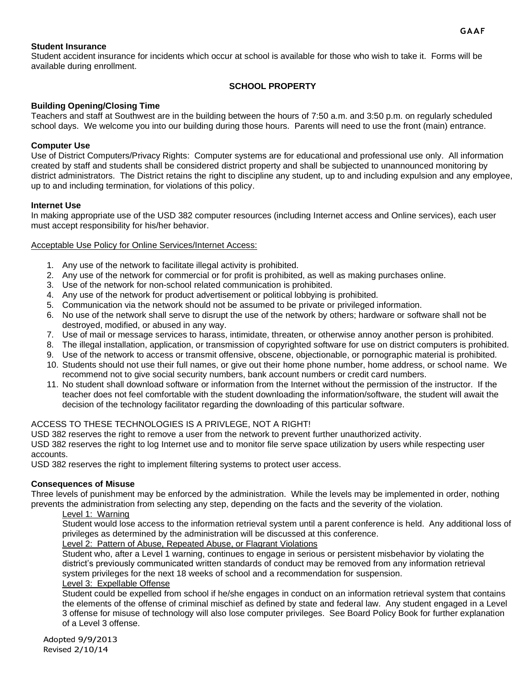#### **Student Insurance**

Student accident insurance for incidents which occur at school is available for those who wish to take it. Forms will be available during enrollment.

#### **SCHOOL PROPERTY**

#### **Building Opening/Closing Time**

Teachers and staff at Southwest are in the building between the hours of 7:50 a.m. and 3:50 p.m. on regularly scheduled school days. We welcome you into our building during those hours. Parents will need to use the front (main) entrance.

#### **Computer Use**

Use of District Computers/Privacy Rights: Computer systems are for educational and professional use only. All information created by staff and students shall be considered district property and shall be subjected to unannounced monitoring by district administrators. The District retains the right to discipline any student, up to and including expulsion and any employee, up to and including termination, for violations of this policy.

#### **Internet Use**

In making appropriate use of the USD 382 computer resources (including Internet access and Online services), each user must accept responsibility for his/her behavior.

#### Acceptable Use Policy for Online Services/Internet Access:

- 1. Any use of the network to facilitate illegal activity is prohibited.
- 2. Any use of the network for commercial or for profit is prohibited, as well as making purchases online.
- 3. Use of the network for non-school related communication is prohibited.
- 4. Any use of the network for product advertisement or political lobbying is prohibited.
- 5. Communication via the network should not be assumed to be private or privileged information.
- 6. No use of the network shall serve to disrupt the use of the network by others; hardware or software shall not be destroyed, modified, or abused in any way.
- 7. Use of mail or message services to harass, intimidate, threaten, or otherwise annoy another person is prohibited.
- 8. The illegal installation, application, or transmission of copyrighted software for use on district computers is prohibited.
- 9. Use of the network to access or transmit offensive, obscene, objectionable, or pornographic material is prohibited.
- 10. Students should not use their full names, or give out their home phone number, home address, or school name. We recommend not to give social security numbers, bank account numbers or credit card numbers.
- 11. No student shall download software or information from the Internet without the permission of the instructor. If the teacher does not feel comfortable with the student downloading the information/software, the student will await the decision of the technology facilitator regarding the downloading of this particular software.

#### ACCESS TO THESE TECHNOLOGIES IS A PRIVLEGE, NOT A RIGHT!

USD 382 reserves the right to remove a user from the network to prevent further unauthorized activity.

USD 382 reserves the right to log Internet use and to monitor file serve space utilization by users while respecting user accounts.

USD 382 reserves the right to implement filtering systems to protect user access.

#### **Consequences of Misuse**

Three levels of punishment may be enforced by the administration. While the levels may be implemented in order, nothing prevents the administration from selecting any step, depending on the facts and the severity of the violation.

#### Level 1: Warning

Student would lose access to the information retrieval system until a parent conference is held. Any additional loss of privileges as determined by the administration will be discussed at this conference.

Level 2: Pattern of Abuse, Repeated Abuse, or Flagrant Violations

Student who, after a Level 1 warning, continues to engage in serious or persistent misbehavior by violating the district's previously communicated written standards of conduct may be removed from any information retrieval system privileges for the next 18 weeks of school and a recommendation for suspension.

#### Level 3: Expellable Offense

Student could be expelled from school if he/she engages in conduct on an information retrieval system that contains the elements of the offense of criminal mischief as defined by state and federal law. Any student engaged in a Level 3 offense for misuse of technology will also lose computer privileges. See Board Policy Book for further explanation of a Level 3 offense.

Adopted 9/9/2013 Revised 2/10/14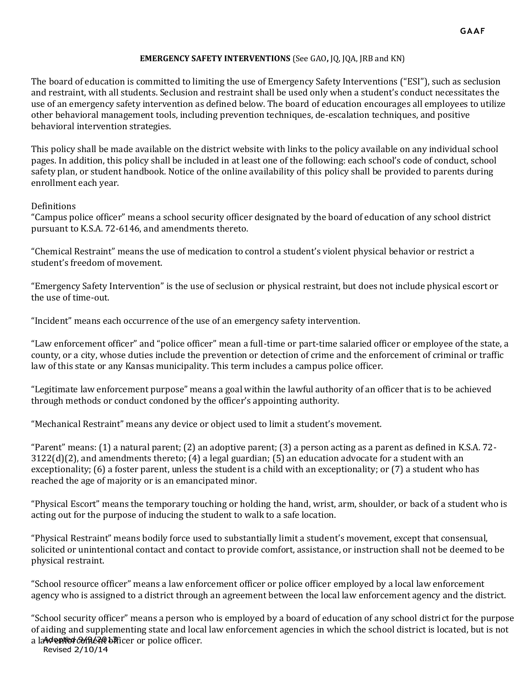#### **EMERGENCY SAFETY INTERVENTIONS** (See GAO**,** JQ, JQA, JRB and KN)

The board of education is committed to limiting the use of Emergency Safety Interventions ("ESI"), such as seclusion and restraint, with all students. Seclusion and restraint shall be used only when a student's conduct necessitates the use of an emergency safety intervention as defined below. The board of education encourages all employees to utilize other behavioral management tools, including prevention techniques, de-escalation techniques, and positive behavioral intervention strategies.

This policy shall be made available on the district website with links to the policy available on any individual school pages. In addition, this policy shall be included in at least one of the following: each school's code of conduct, school safety plan, or student handbook. Notice of the online availability of this policy shall be provided to parents during enrollment each year.

#### Definitions

"Campus police officer" means a school security officer designated by the board of education of any school district pursuant to K.S.A. 72-6146, and amendments thereto.

"Chemical Restraint" means the use of medication to control a student's violent physical behavior or restrict a student's freedom of movement.

"Emergency Safety Intervention" is the use of seclusion or physical restraint, but does not include physical escort or the use of time-out.

"Incident" means each occurrence of the use of an emergency safety intervention.

"Law enforcement officer" and "police officer" mean a full-time or part-time salaried officer or employee of the state, a county, or a city, whose duties include the prevention or detection of crime and the enforcement of criminal or traffic law of this state or any Kansas municipality. This term includes a campus police officer.

"Legitimate law enforcement purpose" means a goal within the lawful authority of an officer that is to be achieved through methods or conduct condoned by the officer's appointing authority.

"Mechanical Restraint" means any device or object used to limit a student's movement.

"Parent" means: (1) a natural parent; (2) an adoptive parent; (3) a person acting as a parent as defined in K.S.A. 72-  $3122(d)(2)$ , and amendments thereto; (4) a legal guardian; (5) an education advocate for a student with an exceptionality; (6) a foster parent, unless the student is a child with an exceptionality; or (7) a student who has reached the age of majority or is an emancipated minor.

"Physical Escort" means the temporary touching or holding the hand, wrist, arm, shoulder, or back of a student who is acting out for the purpose of inducing the student to walk to a safe location.

"Physical Restraint" means bodily force used to substantially limit a student's movement, except that consensual, solicited or unintentional contact and contact to provide comfort, assistance, or instruction shall not be deemed to be physical restraint.

"School resource officer" means a law enforcement officer or police officer employed by a local law enforcement agency who is assigned to a district through an agreement between the local law enforcement agency and the district.

a la **Mented Anda th**icer or police officer. "School security officer" means a person who is employed by a board of education of any school district for the purpose of aiding and supplementing state and local law enforcement agencies in which the school district is located, but is not

Revised 2/10/14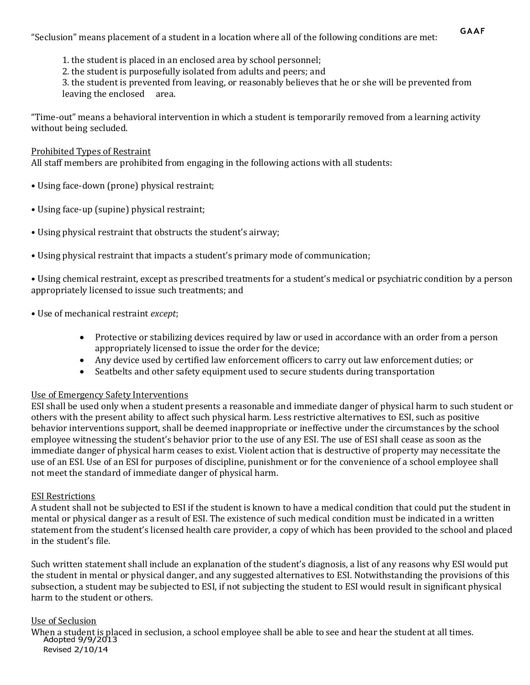"Seclusion" means placement of a student in a location where all of the following conditions are met:

1. the student is placed in an enclosed area by school personnel;

2. the student is purposefully isolated from adults and peers; and

3. the student is prevented from leaving, or reasonably believes that he or she will be prevented from leaving the enclosed area.

"Time-out" means a behavioral intervention in which a student is temporarily removed from a learning activity without being secluded.

#### Prohibited Types of Restraint

All staff members are prohibited from engaging in the following actions with all students:

- Using face-down (prone) physical restraint;
- Using face-up (supine) physical restraint;
- Using physical restraint that obstructs the student's airway;
- Using physical restraint that impacts a student's primary mode of communication;

• Using chemical restraint, except as prescribed treatments for a student's medical or psychiatric condition by a person appropriately licensed to issue such treatments; and

- Use of mechanical restraint *except*;
	- Protective or stabilizing devices required by law or used in accordance with an order from a person appropriately licensed to issue the order for the device;
	- Any device used by certified law enforcement officers to carry out law enforcement duties; or
	- Seatbelts and other safety equipment used to secure students during transportation

# Use of Emergency Safety Interventions

ESI shall be used only when a student presents a reasonable and immediate danger of physical harm to such student or others with the present ability to affect such physical harm. Less restrictive alternatives to ESI, such as positive behavior interventions support, shall be deemed inappropriate or ineffective under the circumstances by the school employee witnessing the student's behavior prior to the use of any ESI. The use of ESI shall cease as soon as the immediate danger of physical harm ceases to exist. Violent action that is destructive of property may necessitate the use of an ESI. Use of an ESI for purposes of discipline, punishment or for the convenience of a school employee shall not meet the standard of immediate danger of physical harm.

# ESI Restrictions

A student shall not be subjected to ESI if the student is known to have a medical condition that could put the student in mental or physical danger as a result of ESI. The existence of such medical condition must be indicated in a written statement from the student's licensed health care provider, a copy of which has been provided to the school and placed in the student's file.

Such written statement shall include an explanation of the student's diagnosis, a list of any reasons why ESI would put the student in mental or physical danger, and any suggested alternatives to ESI. Notwithstanding the provisions of this subsection, a student may be subjected to ESI, if not subjecting the student to ESI would result in significant physical harm to the student or others.

#### Use of Seclusion

Adopted 9/9/2013 Revised 2/10/14 When a student is placed in seclusion, a school employee shall be able to see and hear the student at all times.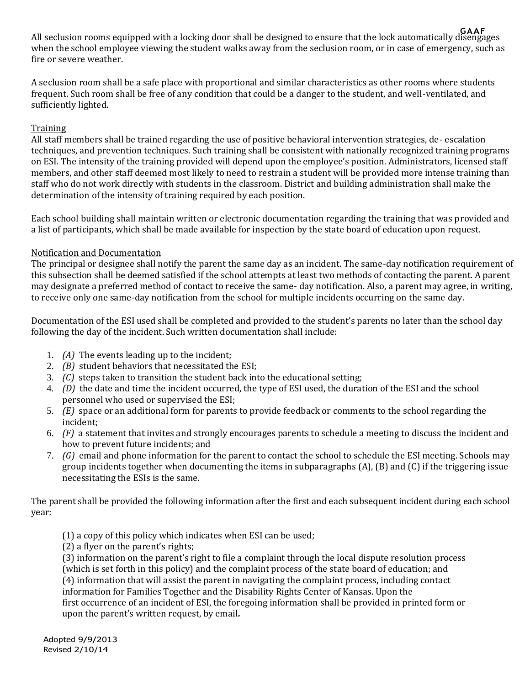**GAAF** All seclusion rooms equipped with a locking door shall be designed to ensure that the lock automatically disengages when the school employee viewing the student walks away from the seclusion room, or in case of emergency, such as fire or severe weather.

A seclusion room shall be a safe place with proportional and similar characteristics as other rooms where students frequent. Such room shall be free of any condition that could be a danger to the student, and well-ventilated, and sufficiently lighted.

# **Training**

All staff members shall be trained regarding the use of positive behavioral intervention strategies, de- escalation techniques, and prevention techniques. Such training shall be consistent with nationally recognized training programs on ESI. The intensity of the training provided will depend upon the employee's position. Administrators, licensed staff members, and other staff deemed most likely to need to restrain a student will be provided more intense training than staff who do not work directly with students in the classroom. District and building administration shall make the determination of the intensity of training required by each position.

Each school building shall maintain written or electronic documentation regarding the training that was provided and a list of participants, which shall be made available for inspection by the state board of education upon request.

# Notification and Documentation

The principal or designee shall notify the parent the same day as an incident. The same-day notification requirement of this subsection shall be deemed satisfied if the school attempts at least two methods of contacting the parent. A parent may designate a preferred method of contact to receive the same- day notification. Also, a parent may agree, in writing, to receive only one same-day notification from the school for multiple incidents occurring on the same day.

Documentation of the ESI used shall be completed and provided to the student's parents no later than the school day following the day of the incident. Such written documentation shall include:

- 1. *(A)* The events leading up to the incident;
- 2. *(B)* student behaviors that necessitated the ESI;
- 3. *(C)* steps taken to transition the student back into the educational setting;
- 4. *(D)* the date and time the incident occurred, the type of ESI used, the duration of the ESI and the school personnel who used or supervised the ESI;
- 5. *(E)* space or an additional form for parents to provide feedback or comments to the school regarding the incident;
- 6. *(F)* a statement that invites and strongly encourages parents to schedule a meeting to discuss the incident and how to prevent future incidents; and
- 7. *(G)* email and phone information for the parent to contact the school to schedule the ESI meeting. Schools may group incidents together when documenting the items in subparagraphs (A), (B) and (C) if the triggering issue necessitating the ESIs is the same.

The parent shall be provided the following information after the first and each subsequent incident during each school year:

- (1) a copy of this policy which indicates when ESI can be used;
- (2) a flyer on the parent's rights;

(3) information on the parent's right to file a complaint through the local dispute resolution process (which is set forth in this policy) and the complaint process of the state board of education; and (4) information that will assist the parent in navigating the complaint process, including contact

information for Families Together and the Disability Rights Center of Kansas. Upon the first occurrence of an incident of ESI, the foregoing information shall be provided in printed form or upon the parent's written request, by email*.*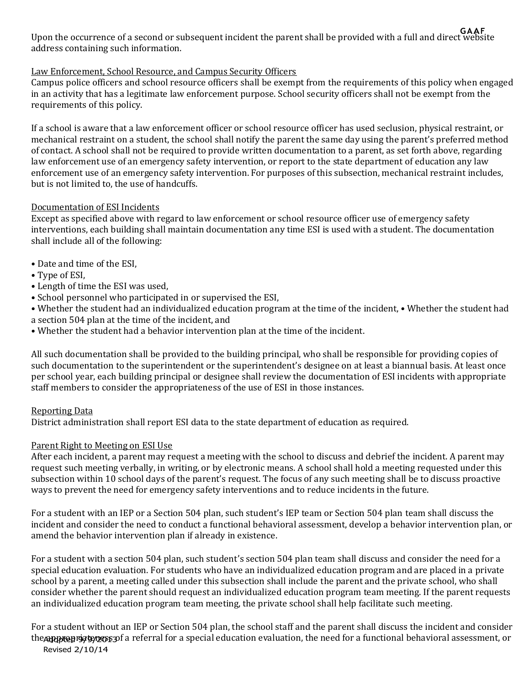**GAAF** Upon the occurrence of a second or subsequent incident the parent shall be provided with a full and direct website address containing such information.

# Law Enforcement, School Resource, and Campus Security Officers

Campus police officers and school resource officers shall be exempt from the requirements of this policy when engaged in an activity that has a legitimate law enforcement purpose. School security officers shall not be exempt from the requirements of this policy.

If a school is aware that a law enforcement officer or school resource officer has used seclusion, physical restraint, or mechanical restraint on a student, the school shall notify the parent the same day using the parent's preferred method of contact. A school shall not be required to provide written documentation to a parent, as set forth above, regarding law enforcement use of an emergency safety intervention, or report to the state department of education any law enforcement use of an emergency safety intervention. For purposes of this subsection, mechanical restraint includes, but is not limited to, the use of handcuffs.

# Documentation of ESI Incidents

Except as specified above with regard to law enforcement or school resource officer use of emergency safety interventions, each building shall maintain documentation any time ESI is used with a student. The documentation shall include all of the following:

- Date and time of the ESI,
- Type of ESI,
- Length of time the ESI was used,
- School personnel who participated in or supervised the ESI,
- Whether the student had an individualized education program at the time of the incident, Whether the student had a section 504 plan at the time of the incident, and
- Whether the student had a behavior intervention plan at the time of the incident.

All such documentation shall be provided to the building principal, who shall be responsible for providing copies of such documentation to the superintendent or the superintendent's designee on at least a biannual basis. At least once per school year, each building principal or designee shall review the documentation of ESI incidents with appropriate staff members to consider the appropriateness of the use of ESI in those instances.

# Reporting Data

District administration shall report ESI data to the state department of education as required.

# Parent Right to Meeting on ESI Use

After each incident, a parent may request a meeting with the school to discuss and debrief the incident. A parent may request such meeting verbally, in writing, or by electronic means. A school shall hold a meeting requested under this subsection within 10 school days of the parent's request. The focus of any such meeting shall be to discuss proactive ways to prevent the need for emergency safety interventions and to reduce incidents in the future.

For a student with an IEP or a Section 504 plan, such student's IEP team or Section 504 plan team shall discuss the incident and consider the need to conduct a functional behavioral assessment, develop a behavior intervention plan, or amend the behavior intervention plan if already in existence.

For a student with a section 504 plan, such student's section 504 plan team shall discuss and consider the need for a special education evaluation. For students who have an individualized education program and are placed in a private school by a parent, a meeting called under this subsection shall include the parent and the private school, who shall consider whether the parent should request an individualized education program team meeting. If the parent requests an individualized education program team meeting, the private school shall help facilitate such meeting.

the appreprist propriation a referral for a special education evaluation, the need for a functional behavioral assessment, or Revised 2/10/14 For a student without an IEP or Section 504 plan, the school staff and the parent shall discuss the incident and consider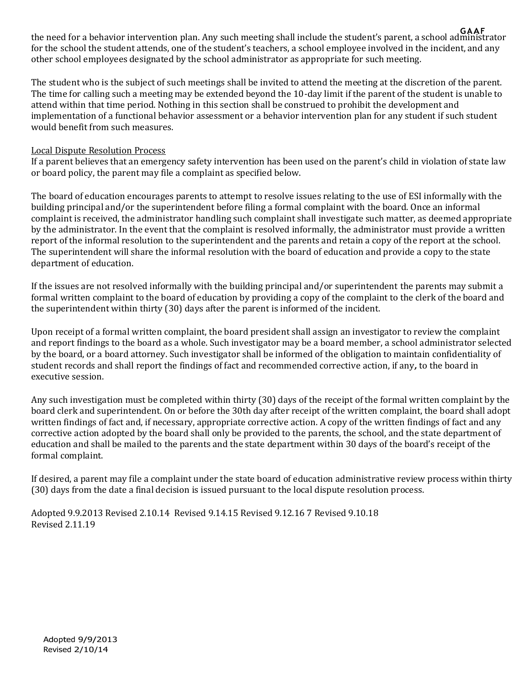**GAAF** the need for a behavior intervention plan. Any such meeting shall include the student's parent, a school administrator for the school the student attends, one of the student's teachers, a school employee involved in the incident, and any other school employees designated by the school administrator as appropriate for such meeting.

The student who is the subject of such meetings shall be invited to attend the meeting at the discretion of the parent. The time for calling such a meeting may be extended beyond the 10-day limit if the parent of the student is unable to attend within that time period. Nothing in this section shall be construed to prohibit the development and implementation of a functional behavior assessment or a behavior intervention plan for any student if such student would benefit from such measures.

# Local Dispute Resolution Process

If a parent believes that an emergency safety intervention has been used on the parent's child in violation of state law or board policy, the parent may file a complaint as specified below.

The board of education encourages parents to attempt to resolve issues relating to the use of ESI informally with the building principal and/or the superintendent before filing a formal complaint with the board. Once an informal complaint is received, the administrator handling such complaint shall investigate such matter, as deemed appropriate by the administrator. In the event that the complaint is resolved informally, the administrator must provide a written report of the informal resolution to the superintendent and the parents and retain a copy of the report at the school. The superintendent will share the informal resolution with the board of education and provide a copy to the state department of education.

If the issues are not resolved informally with the building principal and/or superintendent the parents may submit a formal written complaint to the board of education by providing a copy of the complaint to the clerk of the board and the superintendent within thirty (30) days after the parent is informed of the incident.

Upon receipt of a formal written complaint, the board president shall assign an investigator to review the complaint and report findings to the board as a whole. Such investigator may be a board member, a school administrator selected by the board, or a board attorney. Such investigator shall be informed of the obligation to maintain confidentiality of student records and shall report the findings of fact and recommended corrective action, if any*,* to the board in executive session.

Any such investigation must be completed within thirty (30) days of the receipt of the formal written complaint by the board clerk and superintendent. On or before the 30th day after receipt of the written complaint, the board shall adopt written findings of fact and, if necessary, appropriate corrective action. A copy of the written findings of fact and any corrective action adopted by the board shall only be provided to the parents, the school, and the state department of education and shall be mailed to the parents and the state department within 30 days of the board's receipt of the formal complaint.

If desired, a parent may file a complaint under the state board of education administrative review process within thirty (30) days from the date a final decision is issued pursuant to the local dispute resolution process.

Adopted 9.9.2013 Revised 2.10.14 Revised 9.14.15 Revised 9.12.16 7 Revised 9.10.18 Revised 2.11.19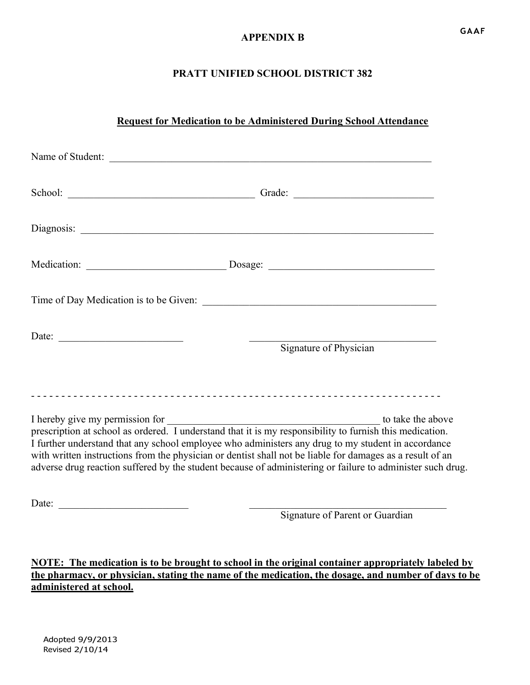# **APPENDIX B**

# **PRATT UNIFIED SCHOOL DISTRICT 382**

# **Request for Medication to be Administered During School Attendance**

| Name of Student:                                                                                                                                                                                                                                                                                                                                               |                                                                                                            |
|----------------------------------------------------------------------------------------------------------------------------------------------------------------------------------------------------------------------------------------------------------------------------------------------------------------------------------------------------------------|------------------------------------------------------------------------------------------------------------|
| School: Contract Contract Contract Contract Contract Contract Contract Contract Contract Contract Contract Contract Contract Contract Contract Contract Contract Contract Contract Contract Contract Contract Contract Contrac                                                                                                                                 |                                                                                                            |
|                                                                                                                                                                                                                                                                                                                                                                |                                                                                                            |
|                                                                                                                                                                                                                                                                                                                                                                |                                                                                                            |
|                                                                                                                                                                                                                                                                                                                                                                |                                                                                                            |
| Date:                                                                                                                                                                                                                                                                                                                                                          | Signature of Physician                                                                                     |
| I hereby give my permission for<br>prescription at school as ordered. I understand that it is my responsibility to furnish this medication.<br>I further understand that any school employee who administers any drug to my student in accordance<br>with written instructions from the physician or dentist shall not be liable for damages as a result of an | adverse drug reaction suffered by the student because of administering or failure to administer such drug. |
| Date:                                                                                                                                                                                                                                                                                                                                                          |                                                                                                            |

Signature of Parent or Guardian

**NOTE: The medication is to be brought to school in the original container appropriately labeled by the pharmacy, or physician, stating the name of the medication, the dosage, and number of days to be administered at school.**